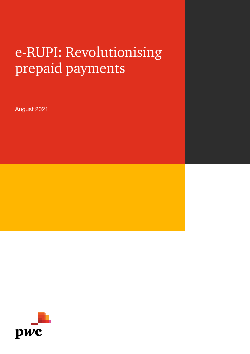# e-RUPI: Revolutionising prepaid payments

August 2021

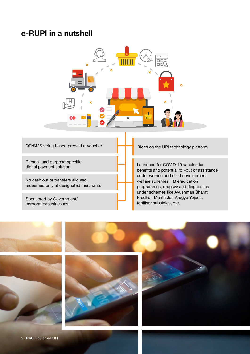#### **e-RUPI in a nutshell**



#### QR/SMS string based prepaid e-voucher

Person- and purpose-specific digital payment solution

No cash out or transfers allowed, redeemed only at designated merchants

Sponsored by Government/ corporates/businesses

#### Rides on the UPI technology platform

Launched for COVID-19 vaccination benefits and potential roll-out of assistance under women and child development welfare schemes, TB eradication programmes, drugsvv and diagnostics under schemes like Ayushman Bharat Pradhan Mantri Jan Arogya Yojana, fertiliser subsidies, etc.

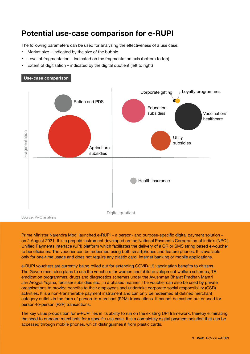## **Potential use-case comparison for e-RUPI**

The following parameters can be used for analysing the effectiveness of a use case:

Market size  $-$  indicated by the size of the bubble

**Use-case comparison**

- Level of fragmentation indicated on the fragmentation axis (bottom to top)
- Extent of digitisation indicated by the digital quotient (left to right)

# Corporate gifting  $\Box$  Loyalty programmes Ration and PDS Education subsidies Vaccination/ healthcare Fragmentation Fragmentation **Utilty** subsidies **Agriculture** subsidies Health insurance Digital quotient Source: PwC analysis

Prime Minister Narendra Modi launched e-RUPI – a person- and purpose-specific digital payment solution – on 2 August 2021. It is a prepaid instrument developed on the National Payments Corporation of India's (NPCI) Unified Payments Interface (UPI) platform which facilitates the delivery of a QR or SMS string based e-voucher to beneficiaries. The voucher can be redeemed using both smartphones and feature phones. It is available only for one-time usage and does not require any plastic card, internet banking or mobile applications.

e-RUPI vouchers are currently being rolled out for extending COVID-19 vaccination benefits to citizens. The Government also plans to use the vouchers for women and child development welfare schemes, TB eradication programmes, drugs and diagnostics schemes under the Ayushman Bharat Pradhan Mantri Jan Arogya Yojana, fertiliser subsidies etc., in a phased manner. The voucher can also be used by private organisations to provide benefits to their employees and undertake corporate social responsibility (CSR) activities. It is a non-transferrable payment instrument and can only be redeemed at defined merchant category outlets in the form of person-to-merchant (P2M) transactions. It cannot be cashed out or used for person-to-person (P2P) transactions.

The key value proposition for e-RUPI lies in its ability to run on the existing UPI framework, thereby eliminating the need to onboard merchants for a specific use case. It is a completely digital payment solution that can be accessed through mobile phones, which distinguishes it from plastic cards.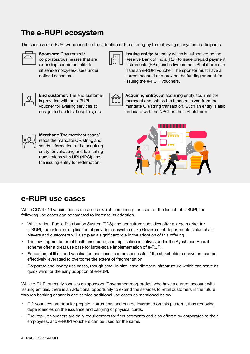## **The e-RUPI ecosystem**

The success of e-RUPI will depend on the adoption of the offering by the following ecosystem participants:





**Sponsors:** Government/ **If All issuing entity:** An entity which is authorised by the corporates/businesses that are  $\|\vec{F}:\|\|\vec{F}=\|\vec{F}\|$  Reserve Bank of India (RBI) to issue prepaid payment extending certain benefits to  $\Box \cdots \Box$  instruments (PPIs) and is live on the UPI platform can citizens/employees/users under issue an e-RUPI voucher. The sponsor must have a defined schemes. current account and provide the funding amount for issuing the e-RUPI vouchers.





**End customer:** The end customer **Acquiring entity:** An acquiring entity acquires the is provided with an e-RUPI  $\Vert \Pi \Vert$  merchant and settles the funds received from the voucher for availing services at mandate QR/string transaction. Such an entity is also designated outlets, hospitals, etc. on board with the NPCI on the UPI platform.



**Merchant:** The merchant scans/ reads the mandate QR/string and sends information to the acquiring entity for validating and facilitating transactions with UPI (NPCI) and the issuing entity for redemption.

## **e-RUPI use cases**

While COVID-19 vaccination is a use case which has been prioritised for the launch of e-RUPI, the following use cases can be targeted to increase its adoption.

- While ration, Public Distribution System (PDS) and agriculture subsidies offer a large market for e-RUPI, the extent of digitisation of provider ecosystems like Government departments, value chain players and customers will also play a significant role in the adoption of this offering.
- The low fragmentation of health insurance, and digitisation initiatives under the Ayushman Bharat scheme offer a great use case for large-scale implementation of e-RUPI.
- Education, utilities and vaccination use cases can be successful if the stakeholder ecosystem can be effectively leveraged to overcome the extent of fragmentation.
- Corporate and loyalty use cases, though small in size, have digitised infrastructure which can serve as quick wins for the early adoption of e-RUPI.

While e-RUPI currently focuses on sponsors (Government/corporates) who have a current account with issuing entities, there is an additional opportunity to extend the services to retail customers in the future through banking channels and service additional use cases as mentioned below:

- Gift vouchers are popular prepaid instruments and can be leveraged on this platform, thus removing dependencies on the issuance and carrying of physical cards.
- Fuel top-up vouchers are daily requirements for fleet segments and also offered by corporates to their employees, and e-RUPI vouchers can be used for the same.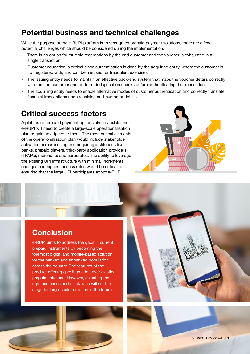## **Potential business and technical challenges**

While the purpose of the e-RUPI platform is to strengthen prepaid payment solutions, there are a few potential challenges which should be considered during the implementation.

- There is no option for multiple redemptions by the end customer and the voucher is exhausted in a single transaction.
- Customer education is critical since authentication is done by the acquiring entity, whom the customer is not registered with, and can be misused for fraudulent exercises.
- The issuing entity needs to maintain an effective back-end system that maps the voucher details correctly with the end customer and perform deduplication checks before authenticating the transaction.
- The acquiring entity needs to enable alternative modes of customer authentication and correctly translate financial transactions upon receiving end-customer details.

#### **Critical success factors**

A plethora of prepaid payment options already exists and e-RUPI will need to create a large-scale operationalisation plan to gain an edge over them. The most critical elements of the operationalisation plan would include stakeholder activation across issuing and acquiring institutions like banks, prepaid players, third-party application providers (TPAPs), merchants and corporates. The ability to leverage the existing UPI infrastructure with minimal incremental changes and higher success rates would be critical to ensuring that the large UPI participants adopt e-RUPI.



#### **Conclusion**

e-RUPI aims to address the gaps in current prepaid instruments by becoming the foremost digital and mobile-based solution for the banked and unbanked population across the country. The features of the product offering give it an edge over existing prepaid solutions. However, selecting the right use cases and quick wins will set the stage for large-scale adoption in the future.